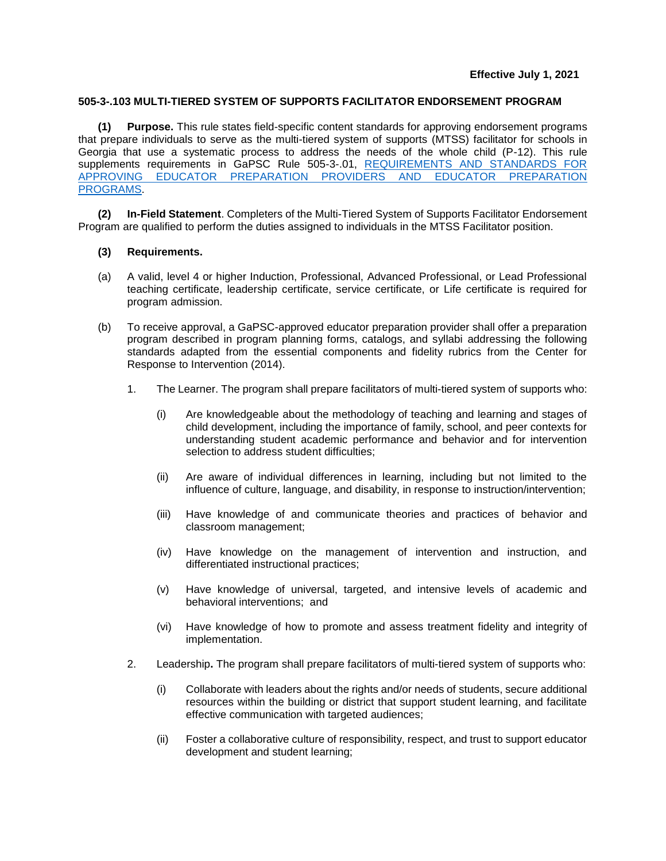## **505-3-.103 MULTI-TIERED SYSTEM OF SUPPORTS FACILITATOR ENDORSEMENT PROGRAM**

**(1) Purpose.** This rule states field-specific content standards for approving endorsement programs that prepare individuals to serve as the multi-tiered system of supports (MTSS) facilitator for schools in Georgia that use a systematic process to address the needs of the whole child (P-12). This rule supplements requirements in GaPSC Rule 505-3-.01, [REQUIREMENTS AND STANDARDS FOR](https://www.gapsc.com/Rules/Current/EducatorPreparation/505-3-.01.pdf?dt=%3C%25#Eval()  [APPROVING EDUCATOR PREPARATION PROVIDERS AND EDUCATOR PREPARATION](https://www.gapsc.com/Rules/Current/EducatorPreparation/505-3-.01.pdf?dt=%3C%25#Eval()  [PROGRAMS.](https://www.gapsc.com/Rules/Current/EducatorPreparation/505-3-.01.pdf?dt=%3C%25#Eval()

**(2) In-Field Statement**. Completers of the Multi-Tiered System of Supports Facilitator Endorsement Program are qualified to perform the duties assigned to individuals in the MTSS Facilitator position.

## **(3) Requirements.**

- (a) A valid, level 4 or higher Induction, Professional, Advanced Professional, or Lead Professional teaching certificate, leadership certificate, service certificate, or Life certificate is required for program admission.
- (b) To receive approval, a GaPSC-approved educator preparation provider shall offer a preparation program described in program planning forms, catalogs, and syllabi addressing the following standards adapted from the essential components and fidelity rubrics from the Center for Response to Intervention (2014).
	- 1. The Learner. The program shall prepare facilitators of multi-tiered system of supports who:
		- (i) Are knowledgeable about the methodology of teaching and learning and stages of child development, including the importance of family, school, and peer contexts for understanding student academic performance and behavior and for intervention selection to address student difficulties;
		- (ii) Are aware of individual differences in learning, including but not limited to the influence of culture, language, and disability, in response to instruction/intervention;
		- (iii) Have knowledge of and communicate theories and practices of behavior and classroom management;
		- (iv) Have knowledge on the management of intervention and instruction, and differentiated instructional practices;
		- (v) Have knowledge of universal, targeted, and intensive levels of academic and behavioral interventions; and
		- (vi) Have knowledge of how to promote and assess treatment fidelity and integrity of implementation.
	- 2. Leadership**.** The program shall prepare facilitators of multi-tiered system of supports who:
		- (i) Collaborate with leaders about the rights and/or needs of students, secure additional resources within the building or district that support student learning, and facilitate effective communication with targeted audiences;
		- (ii) Foster a collaborative culture of responsibility, respect, and trust to support educator development and student learning;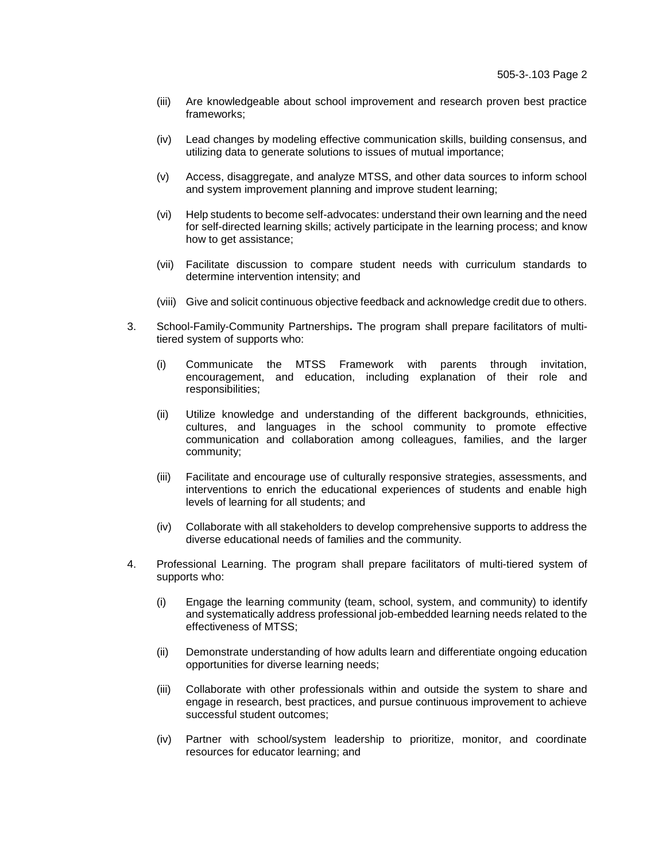- (iii) Are knowledgeable about school improvement and research proven best practice frameworks;
- (iv) Lead changes by modeling effective communication skills, building consensus, and utilizing data to generate solutions to issues of mutual importance;
- (v) Access, disaggregate, and analyze MTSS, and other data sources to inform school and system improvement planning and improve student learning;
- (vi) Help students to become self-advocates: understand their own learning and the need for self-directed learning skills; actively participate in the learning process; and know how to get assistance;
- (vii) Facilitate discussion to compare student needs with curriculum standards to determine intervention intensity; and
- (viii) Give and solicit continuous objective feedback and acknowledge credit due to others.
- 3. School-Family-Community Partnerships**.** The program shall prepare facilitators of multitiered system of supports who:
	- (i) Communicate the MTSS Framework with parents through invitation, encouragement, and education, including explanation of their role and responsibilities;
	- (ii) Utilize knowledge and understanding of the different backgrounds, ethnicities, cultures, and languages in the school community to promote effective communication and collaboration among colleagues, families, and the larger community;
	- (iii) Facilitate and encourage use of culturally responsive strategies, assessments, and interventions to enrich the educational experiences of students and enable high levels of learning for all students; and
	- (iv) Collaborate with all stakeholders to develop comprehensive supports to address the diverse educational needs of families and the community.
- 4. Professional Learning. The program shall prepare facilitators of multi-tiered system of supports who:
	- (i) Engage the learning community (team, school, system, and community) to identify and systematically address professional job-embedded learning needs related to the effectiveness of MTSS;
	- (ii) Demonstrate understanding of how adults learn and differentiate ongoing education opportunities for diverse learning needs;
	- (iii) Collaborate with other professionals within and outside the system to share and engage in research, best practices, and pursue continuous improvement to achieve successful student outcomes;
	- (iv) Partner with school/system leadership to prioritize, monitor, and coordinate resources for educator learning; and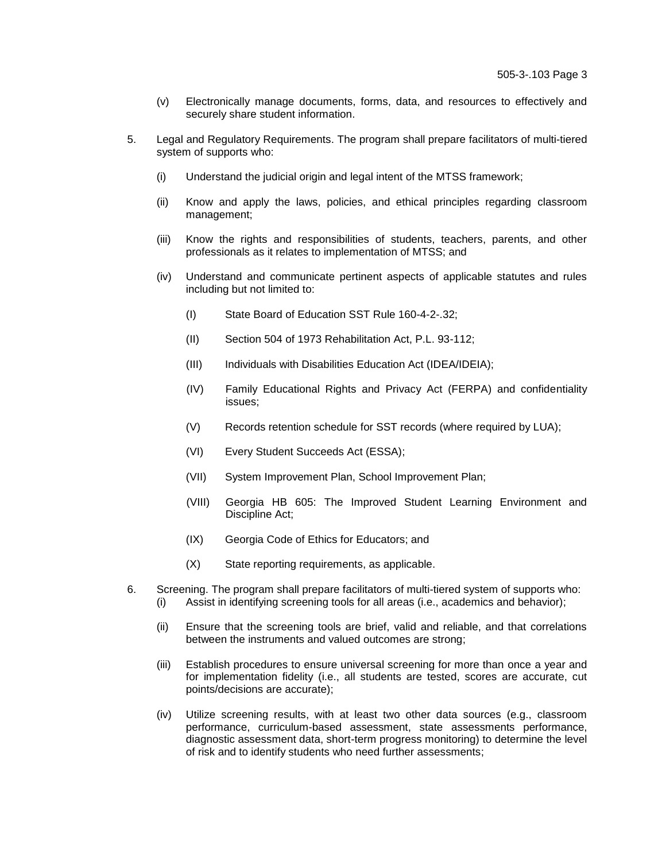- (v) Electronically manage documents, forms, data, and resources to effectively and securely share student information.
- 5. Legal and Regulatory Requirements. The program shall prepare facilitators of multi-tiered system of supports who:
	- (i) Understand the judicial origin and legal intent of the MTSS framework;
	- (ii) Know and apply the laws, policies, and ethical principles regarding classroom management;
	- (iii) Know the rights and responsibilities of students, teachers, parents, and other professionals as it relates to implementation of MTSS; and
	- (iv) Understand and communicate pertinent aspects of applicable statutes and rules including but not limited to:
		- (I) State Board of Education SST Rule 160-4-2-.32;
		- (II) Section 504 of 1973 Rehabilitation Act, P.L. 93-112;
		- (III) Individuals with Disabilities Education Act (IDEA/IDEIA);
		- (IV) Family Educational Rights and Privacy Act (FERPA) and confidentiality issues;
		- (V) Records retention schedule for SST records (where required by LUA);
		- (VI) Every Student Succeeds Act (ESSA);
		- (VII) System Improvement Plan, School Improvement Plan;
		- (VIII) Georgia HB 605: The Improved Student Learning Environment and Discipline Act;
		- (IX) Georgia Code of Ethics for Educators; and
		- (X) State reporting requirements, as applicable.
- 6. Screening. The program shall prepare facilitators of multi-tiered system of supports who: (i) Assist in identifying screening tools for all areas (i.e., academics and behavior);
	- (ii) Ensure that the screening tools are brief, valid and reliable, and that correlations between the instruments and valued outcomes are strong;
	- (iii) Establish procedures to ensure universal screening for more than once a year and for implementation fidelity (i.e., all students are tested, scores are accurate, cut points/decisions are accurate);
	- (iv) Utilize screening results, with at least two other data sources (e.g., classroom performance, curriculum-based assessment, state assessments performance, diagnostic assessment data, short-term progress monitoring) to determine the level of risk and to identify students who need further assessments;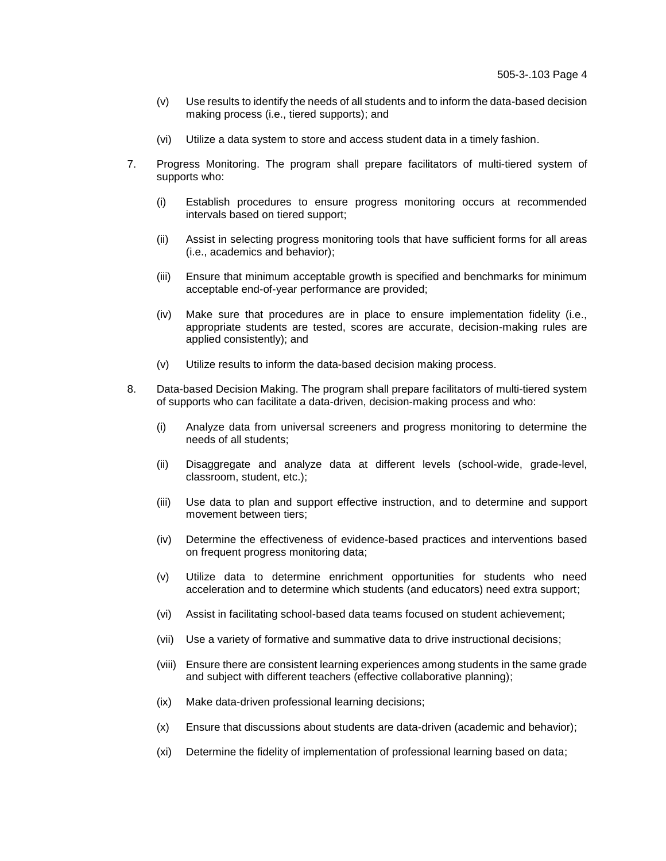- (v) Use results to identify the needs of all students and to inform the data-based decision making process (i.e., tiered supports); and
- (vi) Utilize a data system to store and access student data in a timely fashion.
- 7. Progress Monitoring. The program shall prepare facilitators of multi-tiered system of supports who:
	- (i) Establish procedures to ensure progress monitoring occurs at recommended intervals based on tiered support;
	- (ii) Assist in selecting progress monitoring tools that have sufficient forms for all areas (i.e., academics and behavior);
	- (iii) Ensure that minimum acceptable growth is specified and benchmarks for minimum acceptable end-of-year performance are provided;
	- (iv) Make sure that procedures are in place to ensure implementation fidelity (i.e., appropriate students are tested, scores are accurate, decision-making rules are applied consistently); and
	- (v) Utilize results to inform the data-based decision making process.
- 8. Data-based Decision Making. The program shall prepare facilitators of multi-tiered system of supports who can facilitate a data-driven, decision-making process and who:
	- (i) Analyze data from universal screeners and progress monitoring to determine the needs of all students;
	- (ii) Disaggregate and analyze data at different levels (school-wide, grade-level, classroom, student, etc.);
	- (iii) Use data to plan and support effective instruction, and to determine and support movement between tiers;
	- (iv) Determine the effectiveness of evidence-based practices and interventions based on frequent progress monitoring data;
	- (v) Utilize data to determine enrichment opportunities for students who need acceleration and to determine which students (and educators) need extra support;
	- (vi) Assist in facilitating school-based data teams focused on student achievement;
	- (vii) Use a variety of formative and summative data to drive instructional decisions;
	- (viii) Ensure there are consistent learning experiences among students in the same grade and subject with different teachers (effective collaborative planning);
	- (ix) Make data-driven professional learning decisions;
	- (x) Ensure that discussions about students are data-driven (academic and behavior);
	- (xi) Determine the fidelity of implementation of professional learning based on data;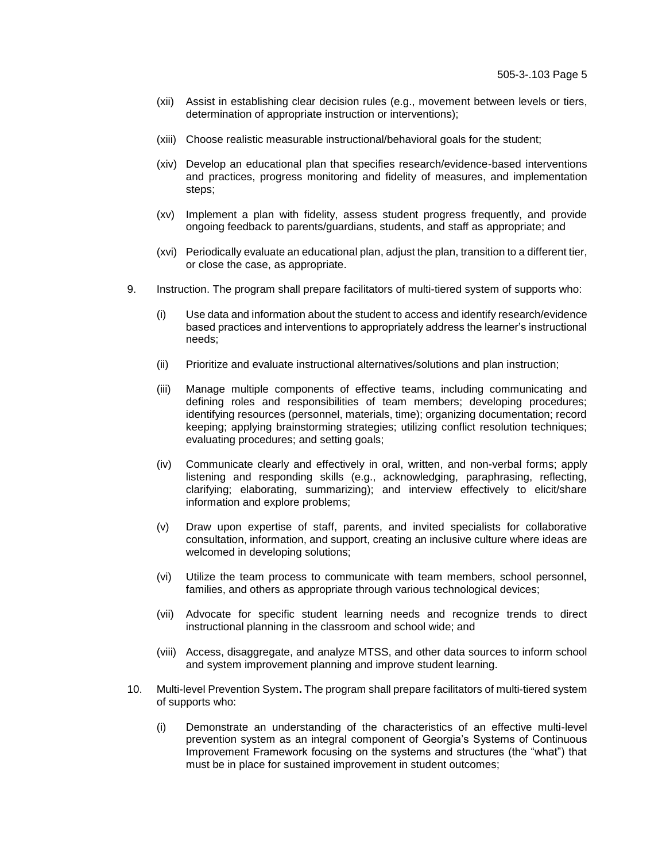- (xii) Assist in establishing clear decision rules (e.g., movement between levels or tiers, determination of appropriate instruction or interventions);
- (xiii) Choose realistic measurable instructional/behavioral goals for the student;
- (xiv) Develop an educational plan that specifies research/evidence-based interventions and practices, progress monitoring and fidelity of measures, and implementation steps;
- (xv) Implement a plan with fidelity, assess student progress frequently, and provide ongoing feedback to parents/guardians, students, and staff as appropriate; and
- (xvi) Periodically evaluate an educational plan, adjust the plan, transition to a different tier, or close the case, as appropriate.
- 9. Instruction. The program shall prepare facilitators of multi-tiered system of supports who:
	- (i) Use data and information about the student to access and identify research/evidence based practices and interventions to appropriately address the learner's instructional needs;
	- (ii) Prioritize and evaluate instructional alternatives/solutions and plan instruction;
	- (iii) Manage multiple components of effective teams, including communicating and defining roles and responsibilities of team members; developing procedures; identifying resources (personnel, materials, time); organizing documentation; record keeping; applying brainstorming strategies; utilizing conflict resolution techniques; evaluating procedures; and setting goals;
	- (iv) Communicate clearly and effectively in oral, written, and non-verbal forms; apply listening and responding skills (e.g., acknowledging, paraphrasing, reflecting, clarifying; elaborating, summarizing); and interview effectively to elicit/share information and explore problems;
	- (v) Draw upon expertise of staff, parents, and invited specialists for collaborative consultation, information, and support, creating an inclusive culture where ideas are welcomed in developing solutions;
	- (vi) Utilize the team process to communicate with team members, school personnel, families, and others as appropriate through various technological devices;
	- (vii) Advocate for specific student learning needs and recognize trends to direct instructional planning in the classroom and school wide; and
	- (viii) Access, disaggregate, and analyze MTSS, and other data sources to inform school and system improvement planning and improve student learning.
- 10. Multi-level Prevention System**.** The program shall prepare facilitators of multi-tiered system of supports who:
	- (i) Demonstrate an understanding of the characteristics of an effective multi-level prevention system as an integral component of Georgia's Systems of Continuous Improvement Framework focusing on the systems and structures (the "what") that must be in place for sustained improvement in student outcomes;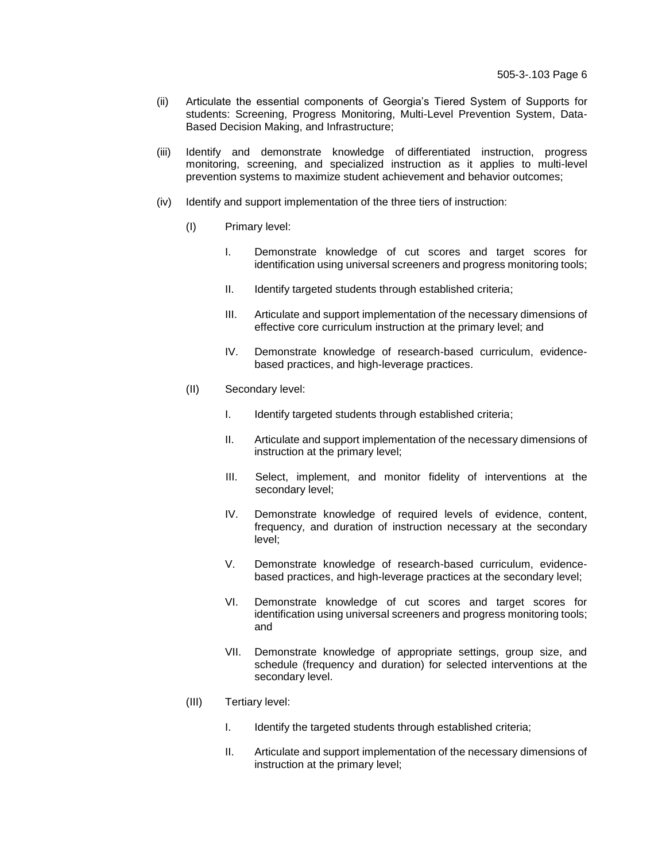- (ii) Articulate the essential components of Georgia's Tiered System of Supports for students: Screening, Progress Monitoring, Multi-Level Prevention System, Data-Based Decision Making, and Infrastructure;
- (iii) Identify and demonstrate knowledge of differentiated instruction, progress monitoring, screening, and specialized instruction as it applies to multi-level prevention systems to maximize student achievement and behavior outcomes;
- (iv) Identify and support implementation of the three tiers of instruction:
	- (I) Primary level:
		- I. Demonstrate knowledge of cut scores and target scores for identification using universal screeners and progress monitoring tools;
		- II. Identify targeted students through established criteria;
		- III. Articulate and support implementation of the necessary dimensions of effective core curriculum instruction at the primary level; and
		- IV. Demonstrate knowledge of research-based curriculum, evidencebased practices, and high-leverage practices.
	- (II) Secondary level:
		- I. Identify targeted students through established criteria;
		- II. Articulate and support implementation of the necessary dimensions of instruction at the primary level;
		- III. Select, implement, and monitor fidelity of interventions at the secondary level;
		- IV. Demonstrate knowledge of required levels of evidence, content, frequency, and duration of instruction necessary at the secondary level;
		- V. Demonstrate knowledge of research-based curriculum, evidencebased practices, and high-leverage practices at the secondary level;
		- VI. Demonstrate knowledge of cut scores and target scores for identification using universal screeners and progress monitoring tools; and
		- VII. Demonstrate knowledge of appropriate settings, group size, and schedule (frequency and duration) for selected interventions at the secondary level.
	- (III) Tertiary level:
		- I. Identify the targeted students through established criteria;
		- II. Articulate and support implementation of the necessary dimensions of instruction at the primary level;